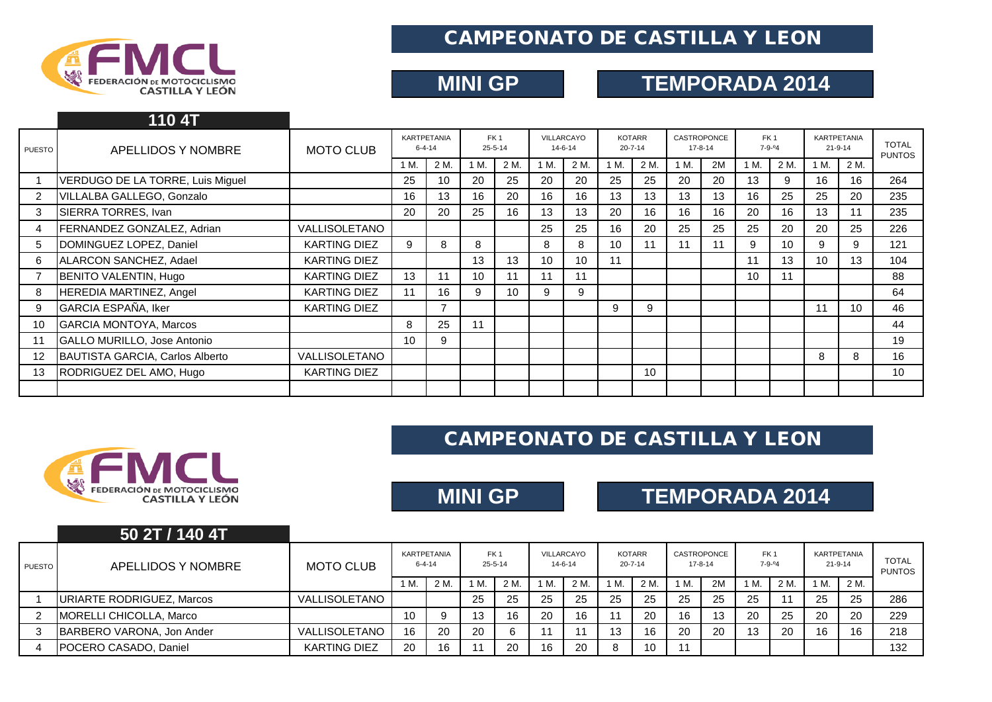

#### CAMPEONATO DE CASTILLA Y LEON

## **MINI GP TEMPORADA 2014**

|               | 110 4T                                 |                     |                             |                          |                                  |      |                             |      |                                |      |                              |    |                                 |      |                                     |      |                               |
|---------------|----------------------------------------|---------------------|-----------------------------|--------------------------|----------------------------------|------|-----------------------------|------|--------------------------------|------|------------------------------|----|---------------------------------|------|-------------------------------------|------|-------------------------------|
| <b>PUESTO</b> | APELLIDOS Y NOMBRE                     | <b>MOTO CLUB</b>    | KARTPETANIA<br>$6 - 4 - 14$ |                          | FK <sub>1</sub><br>$25 - 5 - 14$ |      | VILLARCAYO<br>$14 - 6 - 14$ |      | <b>KOTARR</b><br>$20 - 7 - 14$ |      | CASTROPONCE<br>$17 - 8 - 14$ |    | FK <sub>1</sub><br>$7 - 9 - 94$ |      | <b>KARTPETANIA</b><br>$21 - 9 - 14$ |      | <b>TOTAL</b><br><b>PUNTOS</b> |
|               |                                        |                     | 1 M.                        | 2 M.                     | М.                               | 2 M. | 1 M.                        | 2 M. | 1 M.                           | 2 M. | IM.                          | 2M | 1 M.                            | 2 M. | 1 M.                                | 2 M. |                               |
|               | VERDUGO DE LA TORRE, Luis Miguel       |                     | 25                          | 10                       | 20                               | 25   | 20                          | 20   | 25                             | 25   | 20                           | 20 | 13                              | 9    | 16                                  | 16   | 264                           |
|               | VILLALBA GALLEGO, Gonzalo              |                     | 16                          | 13                       | 16                               | 20   | 16                          | 16   | 13                             | 13   | 13                           | 13 | 16                              | 25   | 25                                  | 20   | 235                           |
| 3             | SIERRA TORRES, Ivan                    |                     | 20                          | 20                       | 25                               | 16   | 13                          | 13   | 20                             | 16   | 16                           | 16 | 20                              | 16   | 13                                  | 11   | 235                           |
| 4             | FERNANDEZ GONZALEZ, Adrian             | VALLISOLETANO       |                             |                          |                                  |      | 25                          | 25   | 16                             | 20   | 25                           | 25 | 25                              | 20   | 20                                  | 25   | 226                           |
| 5             | DOMINGUEZ LOPEZ, Daniel                | <b>KARTING DIEZ</b> | 9                           | 8                        | 8                                |      | 8                           | 8    | 10 <sup>°</sup>                | 11   | 11                           | 11 | 9                               | 10   | 9                                   | 9    | 121                           |
| 6             | ALARCON SANCHEZ, Adael                 | <b>KARTING DIEZ</b> |                             |                          | 13                               | 13   | 10                          | 10   | 11                             |      |                              |    | 11                              | 13   | 10                                  | 13   | 104                           |
|               | BENITO VALENTIN, Hugo                  | <b>KARTING DIEZ</b> | 13                          | 11                       | 10 <sup>°</sup>                  | 11   | 11                          | 11   |                                |      |                              |    | 10                              | 11   |                                     |      | 88                            |
| 8             | HEREDIA MARTINEZ, Angel                | <b>KARTING DIEZ</b> | 11                          | 16                       | 9                                | 10   | 9                           | 9    |                                |      |                              |    |                                 |      |                                     |      | 64                            |
| 9             | GARCIA ESPAÑA, Iker                    | <b>KARTING DIEZ</b> |                             | $\overline{\phantom{a}}$ |                                  |      |                             |      | 9                              | 9    |                              |    |                                 |      | 11                                  | 10   | 46                            |
| 10            | <b>GARCIA MONTOYA, Marcos</b>          |                     | 8                           | 25                       | 11                               |      |                             |      |                                |      |                              |    |                                 |      |                                     |      | 44                            |
| 11            | GALLO MURILLO, Jose Antonio            |                     | 10                          | 9                        |                                  |      |                             |      |                                |      |                              |    |                                 |      |                                     |      | 19                            |
| 12            | <b>BAUTISTA GARCIA, Carlos Alberto</b> | VALLISOLETANO       |                             |                          |                                  |      |                             |      |                                |      |                              |    |                                 |      | 8                                   | 8    | 16                            |
| 13            | RODRIGUEZ DEL AMO, Hugo                | <b>KARTING DIEZ</b> |                             |                          |                                  |      |                             |      |                                | 10   |                              |    |                                 |      |                                     |      | 10                            |
|               |                                        |                     |                             |                          |                                  |      |                             |      |                                |      |                              |    |                                 |      |                                     |      |                               |

#### CAMPEONATO DE CASTILLA Y LEON



**50 2T / 140 4T**

**MINI GP**

#### **TEMPORADA 2014**

| <b>PUESTO</b> | APELLIDOS Y NOMBRE              | <b>MOTO CLUB</b>    | KARTPETANIA<br>$6 - 4 - 14$ |      | FK <sub>1</sub><br>$25 - 5 - 14$ |      | VILLARCAYO<br>$14 - 6 - 14$ |      | <b>KOTARR</b><br>$20 - 7 - 14$ |      | CASTROPONCE<br>$17 - 8 - 14$ |    | FK <sub>1</sub><br>$7 - 9 - 94$ | KARTPETANIA<br>$21 - 9 - 14$ |    |      | <b>TOTAL</b><br><b>PUNTOS</b> |
|---------------|---------------------------------|---------------------|-----------------------------|------|----------------------------------|------|-----------------------------|------|--------------------------------|------|------------------------------|----|---------------------------------|------------------------------|----|------|-------------------------------|
|               |                                 |                     | 1 M.                        | 2 M. | 1 M.                             | 2 M. |                             | 2 M. | M.                             | 2 M. | 1 M.                         | 2M | 1 M.                            | 2 M.                         | М. | 2 M. |                               |
|               | URIARTE RODRIGUEZ, Marcos       | VALLISOLETANO       |                             |      | 25                               | 25   | 25                          | 25   | 25                             | 25   | 25                           | 25 | 25                              |                              | 25 | 25   | 286                           |
|               | <b>IMORELLI CHICOLLA, Marco</b> |                     | 10                          |      | 12                               | 16   | 20                          | 16   |                                | 20   | 16                           | 13 | 20                              | 25                           | 20 | 20   | 229                           |
|               | BARBERO VARONA, Jon Ander       | VALLISOLETANO       | 16                          | 20   | 20                               |      |                             |      | 13                             | 16   | 20                           | 20 | 13                              | 20                           | 16 | 16   | 218                           |
|               | POCERO CASADO, Daniel           | <b>KARTING DIEZ</b> | 20                          | 16   |                                  | 20   | 16                          | 20   | 8                              | 10   | 11                           |    |                                 |                              |    |      | 132                           |